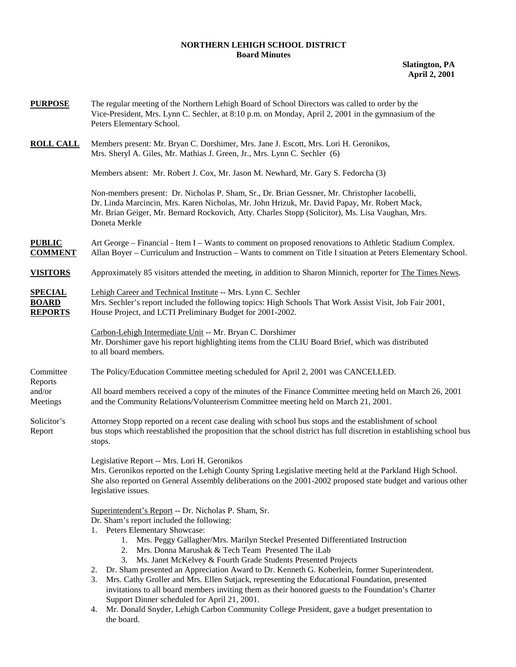## **NORTHERN LEHIGH SCHOOL DISTRICT Board Minutes**

**Slatington, PA April 2, 2001** 

| <b>PURPOSE</b>                                   | The regular meeting of the Northern Lehigh Board of School Directors was called to order by the<br>Vice-President, Mrs. Lynn C. Sechler, at 8:10 p.m. on Monday, April 2, 2001 in the gymnasium of the<br>Peters Elementary School.                                                                                                                                                                                                                                                                                                                                                                                                                                                                                                                                                                                                            |  |  |
|--------------------------------------------------|------------------------------------------------------------------------------------------------------------------------------------------------------------------------------------------------------------------------------------------------------------------------------------------------------------------------------------------------------------------------------------------------------------------------------------------------------------------------------------------------------------------------------------------------------------------------------------------------------------------------------------------------------------------------------------------------------------------------------------------------------------------------------------------------------------------------------------------------|--|--|
| <b>ROLL CALL</b>                                 | Members present: Mr. Bryan C. Dorshimer, Mrs. Jane J. Escott, Mrs. Lori H. Geronikos,<br>Mrs. Sheryl A. Giles, Mr. Mathias J. Green, Jr., Mrs. Lynn C. Sechler (6)                                                                                                                                                                                                                                                                                                                                                                                                                                                                                                                                                                                                                                                                             |  |  |
|                                                  | Members absent: Mr. Robert J. Cox, Mr. Jason M. Newhard, Mr. Gary S. Fedorcha (3)                                                                                                                                                                                                                                                                                                                                                                                                                                                                                                                                                                                                                                                                                                                                                              |  |  |
|                                                  | Non-members present: Dr. Nicholas P. Sham, Sr., Dr. Brian Gessner, Mr. Christopher Iacobelli,<br>Dr. Linda Marcincin, Mrs. Karen Nicholas, Mr. John Hrizuk, Mr. David Papay, Mr. Robert Mack,<br>Mr. Brian Geiger, Mr. Bernard Rockovich, Atty. Charles Stopp (Solicitor), Ms. Lisa Vaughan, Mrs.<br>Doneta Merkle                                                                                                                                                                                                                                                                                                                                                                                                                                                                                                                             |  |  |
| <b>PUBLIC</b><br><b>COMMENT</b>                  | Art George – Financial - Item I – Wants to comment on proposed renovations to Athletic Stadium Complex.<br>Allan Boyer – Curriculum and Instruction – Wants to comment on Title I situation at Peters Elementary School.                                                                                                                                                                                                                                                                                                                                                                                                                                                                                                                                                                                                                       |  |  |
| <b>VISITORS</b>                                  | Approximately 85 visitors attended the meeting, in addition to Sharon Minnich, reporter for The Times News.                                                                                                                                                                                                                                                                                                                                                                                                                                                                                                                                                                                                                                                                                                                                    |  |  |
| <b>SPECIAL</b><br><b>BOARD</b><br><b>REPORTS</b> | Lehigh Career and Technical Institute -- Mrs. Lynn C. Sechler<br>Mrs. Sechler's report included the following topics: High Schools That Work Assist Visit, Job Fair 2001,<br>House Project, and LCTI Preliminary Budget for 2001-2002.                                                                                                                                                                                                                                                                                                                                                                                                                                                                                                                                                                                                         |  |  |
|                                                  | Carbon-Lehigh Intermediate Unit -- Mr. Bryan C. Dorshimer<br>Mr. Dorshimer gave his report highlighting items from the CLIU Board Brief, which was distributed<br>to all board members.                                                                                                                                                                                                                                                                                                                                                                                                                                                                                                                                                                                                                                                        |  |  |
| Committee<br>Reports<br>and/or<br>Meetings       | The Policy/Education Committee meeting scheduled for April 2, 2001 was CANCELLED.                                                                                                                                                                                                                                                                                                                                                                                                                                                                                                                                                                                                                                                                                                                                                              |  |  |
|                                                  | All board members received a copy of the minutes of the Finance Committee meeting held on March 26, 2001<br>and the Community Relations/Volunteerism Committee meeting held on March 21, 2001.                                                                                                                                                                                                                                                                                                                                                                                                                                                                                                                                                                                                                                                 |  |  |
| Solicitor's<br>Report                            | Attorney Stopp reported on a recent case dealing with school bus stops and the establishment of school<br>bus stops which reestablished the proposition that the school district has full discretion in establishing school bus<br>stops.                                                                                                                                                                                                                                                                                                                                                                                                                                                                                                                                                                                                      |  |  |
|                                                  | Legislative Report -- Mrs. Lori H. Geronikos<br>Mrs. Geronikos reported on the Lehigh County Spring Legislative meeting held at the Parkland High School.<br>She also reported on General Assembly deliberations on the 2001-2002 proposed state budget and various other<br>legislative issues.                                                                                                                                                                                                                                                                                                                                                                                                                                                                                                                                               |  |  |
|                                                  | Superintendent's Report -- Dr. Nicholas P. Sham, Sr.<br>Dr. Sham's report included the following:<br>1. Peters Elementary Showcase:<br>1. Mrs. Peggy Gallagher/Mrs. Marilyn Steckel Presented Differentiated Instruction<br>Mrs. Donna Marushak & Tech Team Presented The iLab<br>2.<br>Ms. Janet McKelvey & Fourth Grade Students Presented Projects<br>3.<br>Dr. Sham presented an Appreciation Award to Dr. Kenneth G. Koberlein, former Superintendent.<br>2.<br>Mrs. Cathy Groller and Mrs. Ellen Sutjack, representing the Educational Foundation, presented<br>3.<br>invitations to all board members inviting them as their honored guests to the Foundation's Charter<br>Support Dinner scheduled for April 21, 2001.<br>4. Mr. Donald Snyder, Lehigh Carbon Community College President, gave a budget presentation to<br>the board. |  |  |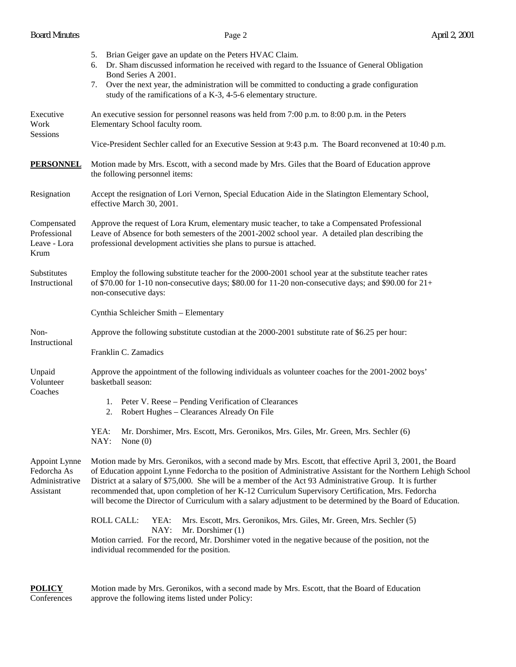# Board Minutes **Page 2** April 2, 2001

|                                                             | 5. Brian Geiger gave an update on the Peters HVAC Claim.<br>Dr. Sham discussed information he received with regard to the Issuance of General Obligation<br>6.<br>Bond Series A 2001.<br>Over the next year, the administration will be committed to conducting a grade configuration<br>7.<br>study of the ramifications of a K-3, 4-5-6 elementary structure.                                                                                                                                                                                             |  |  |  |
|-------------------------------------------------------------|-------------------------------------------------------------------------------------------------------------------------------------------------------------------------------------------------------------------------------------------------------------------------------------------------------------------------------------------------------------------------------------------------------------------------------------------------------------------------------------------------------------------------------------------------------------|--|--|--|
| Executive<br>Work<br>Sessions                               | An executive session for personnel reasons was held from 7:00 p.m. to 8:00 p.m. in the Peters<br>Elementary School faculty room.                                                                                                                                                                                                                                                                                                                                                                                                                            |  |  |  |
|                                                             | Vice-President Sechler called for an Executive Session at 9:43 p.m. The Board reconvened at 10:40 p.m.                                                                                                                                                                                                                                                                                                                                                                                                                                                      |  |  |  |
| <b>PERSONNEL</b>                                            | Motion made by Mrs. Escott, with a second made by Mrs. Giles that the Board of Education approve<br>the following personnel items:                                                                                                                                                                                                                                                                                                                                                                                                                          |  |  |  |
| Resignation                                                 | Accept the resignation of Lori Vernon, Special Education Aide in the Slatington Elementary School,<br>effective March 30, 2001.                                                                                                                                                                                                                                                                                                                                                                                                                             |  |  |  |
| Compensated<br>Professional<br>Leave - Lora<br>Krum         | Approve the request of Lora Krum, elementary music teacher, to take a Compensated Professional<br>Leave of Absence for both semesters of the 2001-2002 school year. A detailed plan describing the<br>professional development activities she plans to pursue is attached.                                                                                                                                                                                                                                                                                  |  |  |  |
| Substitutes<br>Instructional                                | Employ the following substitute teacher for the 2000-2001 school year at the substitute teacher rates<br>of \$70.00 for 1-10 non-consecutive days; \$80.00 for 11-20 non-consecutive days; and \$90.00 for $21+$<br>non-consecutive days:                                                                                                                                                                                                                                                                                                                   |  |  |  |
|                                                             | Cynthia Schleicher Smith - Elementary                                                                                                                                                                                                                                                                                                                                                                                                                                                                                                                       |  |  |  |
| Non-                                                        | Approve the following substitute custodian at the 2000-2001 substitute rate of \$6.25 per hour:                                                                                                                                                                                                                                                                                                                                                                                                                                                             |  |  |  |
| Instructional                                               | Franklin C. Zamadics                                                                                                                                                                                                                                                                                                                                                                                                                                                                                                                                        |  |  |  |
| Unpaid<br>Volunteer<br>Coaches                              | Approve the appointment of the following individuals as volunteer coaches for the 2001-2002 boys'<br>basketball season:                                                                                                                                                                                                                                                                                                                                                                                                                                     |  |  |  |
|                                                             | 1. Peter V. Reese – Pending Verification of Clearances<br>Robert Hughes - Clearances Already On File<br>2.                                                                                                                                                                                                                                                                                                                                                                                                                                                  |  |  |  |
|                                                             | YEA:<br>Mr. Dorshimer, Mrs. Escott, Mrs. Geronikos, Mrs. Giles, Mr. Green, Mrs. Sechler (6)<br>NAY:<br>None $(0)$                                                                                                                                                                                                                                                                                                                                                                                                                                           |  |  |  |
| Appoint Lynne<br>Fedorcha As<br>Administrative<br>Assistant | Motion made by Mrs. Geronikos, with a second made by Mrs. Escott, that effective April 3, 2001, the Board<br>of Education appoint Lynne Fedorcha to the position of Administrative Assistant for the Northern Lehigh School<br>District at a salary of \$75,000. She will be a member of the Act 93 Administrative Group. It is further<br>recommended that, upon completion of her K-12 Curriculum Supervisory Certification, Mrs. Fedorcha<br>will become the Director of Curriculum with a salary adjustment to be determined by the Board of Education. |  |  |  |
|                                                             | ROLL CALL:<br>YEA:<br>Mrs. Escott, Mrs. Geronikos, Mrs. Giles, Mr. Green, Mrs. Sechler (5)<br>NAY:<br>Mr. Dorshimer (1)<br>Motion carried. For the record, Mr. Dorshimer voted in the negative because of the position, not the<br>individual recommended for the position.                                                                                                                                                                                                                                                                                 |  |  |  |

**POLICY** Motion made by Mrs. Geronikos, with a second made by Mrs. Escott, that the Board of Education Conferences approve the following items listed under Policy: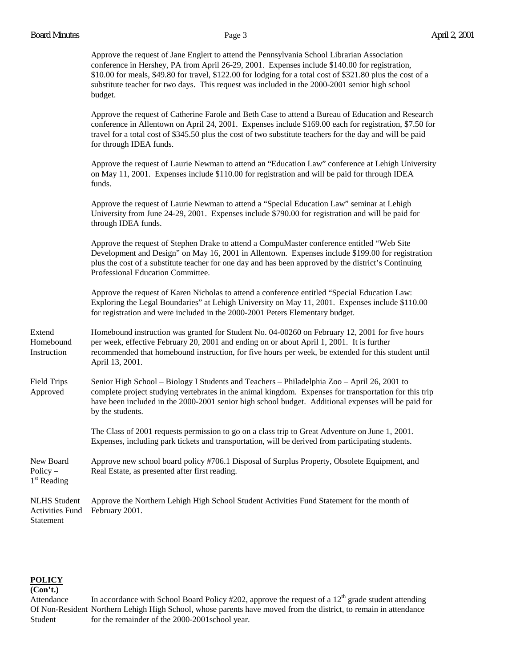|                                                            | Approve the request of Jane Englert to attend the Pennsylvania School Librarian Association<br>conference in Hershey, PA from April 26-29, 2001. Expenses include \$140.00 for registration,<br>$$10.00$ for meals, \$49.80 for travel, \$122.00 for lodging for a total cost of \$321.80 plus the cost of a<br>substitute teacher for two days. This request was included in the 2000-2001 senior high school<br>budget. |
|------------------------------------------------------------|---------------------------------------------------------------------------------------------------------------------------------------------------------------------------------------------------------------------------------------------------------------------------------------------------------------------------------------------------------------------------------------------------------------------------|
|                                                            | Approve the request of Catherine Farole and Beth Case to attend a Bureau of Education and Research<br>conference in Allentown on April 24, 2001. Expenses include \$169.00 each for registration, \$7.50 for<br>travel for a total cost of \$345.50 plus the cost of two substitute teachers for the day and will be paid<br>for through IDEA funds.                                                                      |
|                                                            | Approve the request of Laurie Newman to attend an "Education Law" conference at Lehigh University<br>on May 11, 2001. Expenses include \$110.00 for registration and will be paid for through IDEA<br>funds.                                                                                                                                                                                                              |
|                                                            | Approve the request of Laurie Newman to attend a "Special Education Law" seminar at Lehigh<br>University from June 24-29, 2001. Expenses include \$790.00 for registration and will be paid for<br>through IDEA funds.                                                                                                                                                                                                    |
|                                                            | Approve the request of Stephen Drake to attend a CompuMaster conference entitled "Web Site<br>Development and Design" on May 16, 2001 in Allentown. Expenses include \$199.00 for registration<br>plus the cost of a substitute teacher for one day and has been approved by the district's Continuing<br>Professional Education Committee.                                                                               |
|                                                            | Approve the request of Karen Nicholas to attend a conference entitled "Special Education Law:<br>Exploring the Legal Boundaries" at Lehigh University on May 11, 2001. Expenses include \$110.00<br>for registration and were included in the 2000-2001 Peters Elementary budget.                                                                                                                                         |
| Extend<br>Homebound<br>Instruction                         | Homebound instruction was granted for Student No. 04-00260 on February 12, 2001 for five hours<br>per week, effective February 20, 2001 and ending on or about April 1, 2001. It is further<br>recommended that homebound instruction, for five hours per week, be extended for this student until<br>April 13, 2001.                                                                                                     |
| <b>Field Trips</b><br>Approved                             | Senior High School – Biology I Students and Teachers – Philadelphia Zoo – April 26, 2001 to<br>complete project studying vertebrates in the animal kingdom. Expenses for transportation for this trip<br>have been included in the 2000-2001 senior high school budget. Additional expenses will be paid for<br>by the students.                                                                                          |
|                                                            | The Class of 2001 requests permission to go on a class trip to Great Adventure on June 1, 2001.<br>Expenses, including park tickets and transportation, will be derived from participating students.                                                                                                                                                                                                                      |
| New Board<br>Policy $-$<br>1 <sup>st</sup> Reading         | Approve new school board policy #706.1 Disposal of Surplus Property, Obsolete Equipment, and<br>Real Estate, as presented after first reading.                                                                                                                                                                                                                                                                            |
| <b>NLHS</b> Student<br><b>Activities Fund</b><br>Statement | Approve the Northern Lehigh High School Student Activities Fund Statement for the month of<br>February 2001.                                                                                                                                                                                                                                                                                                              |

# **POLICY**

**(Con't.)** 

Attendance In accordance with School Board Policy #202, approve the request of a  $12<sup>th</sup>$  grade student attending Of Non-Resident Northern Lehigh High School, whose parents have moved from the district, to remain in attendance Student for the remainder of the 2000-2001school year.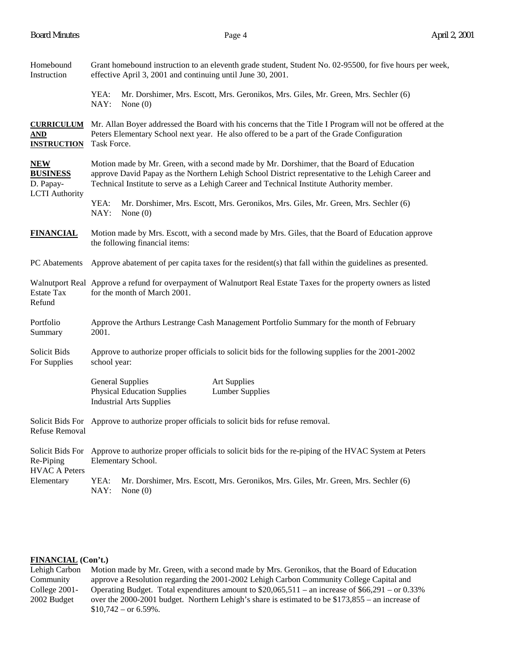| Homebound<br>Instruction                                            | Grant homebound instruction to an eleventh grade student, Student No. 02-95500, for five hours per week,<br>effective April 3, 2001 and continuing until June 30, 2001.                                                                                                                       |  |  |  |  |
|---------------------------------------------------------------------|-----------------------------------------------------------------------------------------------------------------------------------------------------------------------------------------------------------------------------------------------------------------------------------------------|--|--|--|--|
|                                                                     | YEA:<br>Mr. Dorshimer, Mrs. Escott, Mrs. Geronikos, Mrs. Giles, Mr. Green, Mrs. Sechler (6)<br>NAY:<br>None $(0)$                                                                                                                                                                             |  |  |  |  |
| <u>AND</u><br><b>INSTRUCTION</b>                                    | <b>CURRICULUM</b> Mr. Allan Boyer addressed the Board with his concerns that the Title I Program will not be offered at the<br>Peters Elementary School next year. He also offered to be a part of the Grade Configuration<br>Task Force.                                                     |  |  |  |  |
| <b>NEW</b><br><b>BUSINESS</b><br>D. Papay-<br><b>LCTI</b> Authority | Motion made by Mr. Green, with a second made by Mr. Dorshimer, that the Board of Education<br>approve David Papay as the Northern Lehigh School District representative to the Lehigh Career and<br>Technical Institute to serve as a Lehigh Career and Technical Institute Authority member. |  |  |  |  |
|                                                                     | YEA:<br>Mr. Dorshimer, Mrs. Escott, Mrs. Geronikos, Mrs. Giles, Mr. Green, Mrs. Sechler (6)<br>NAY:<br>None $(0)$                                                                                                                                                                             |  |  |  |  |
| <b>FINANCIAL</b>                                                    | Motion made by Mrs. Escott, with a second made by Mrs. Giles, that the Board of Education approve<br>the following financial items:                                                                                                                                                           |  |  |  |  |
| <b>PC</b> Abatements                                                | Approve abatement of per capita taxes for the resident(s) that fall within the guidelines as presented.                                                                                                                                                                                       |  |  |  |  |
| <b>Estate Tax</b><br>Refund                                         | Walnutport Real Approve a refund for overpayment of Walnutport Real Estate Taxes for the property owners as listed<br>for the month of March 2001.                                                                                                                                            |  |  |  |  |
| Portfolio<br>Summary                                                | Approve the Arthurs Lestrange Cash Management Portfolio Summary for the month of February<br>2001.                                                                                                                                                                                            |  |  |  |  |
| Solicit Bids<br>For Supplies                                        | Approve to authorize proper officials to solicit bids for the following supplies for the 2001-2002<br>school year:                                                                                                                                                                            |  |  |  |  |
|                                                                     | <b>General Supplies</b><br><b>Art Supplies</b><br><b>Physical Education Supplies</b><br><b>Lumber Supplies</b><br><b>Industrial Arts Supplies</b>                                                                                                                                             |  |  |  |  |
| Refuse Removal                                                      | Solicit Bids For Approve to authorize proper officials to solicit bids for refuse removal.                                                                                                                                                                                                    |  |  |  |  |
| Re-Piping<br><b>HVAC A Peters</b><br>Elementary                     | Solicit Bids For Approve to authorize proper officials to solicit bids for the re-piping of the HVAC System at Peters<br>Elementary School.                                                                                                                                                   |  |  |  |  |
|                                                                     | YEA:<br>Mr. Dorshimer, Mrs. Escott, Mrs. Geronikos, Mrs. Giles, Mr. Green, Mrs. Sechler (6)<br>NAY:<br>None $(0)$                                                                                                                                                                             |  |  |  |  |

### **FINANCIAL (Con't.)**

Lehigh Carbon Motion made by Mr. Green, with a second made by Mrs. Geronikos, that the Board of Education Community approve a Resolution regarding the 2001-2002 Lehigh Carbon Community College Capital and College 2001- Operating Budget. Total expenditures amount to \$20,065,511 – an increase of \$66,291 – or 0.33% 2002 Budget over the 2000-2001 budget. Northern Lehigh's share is estimated to be \$173,855 – an increase of  $$10,742 - or 6.59\%$ .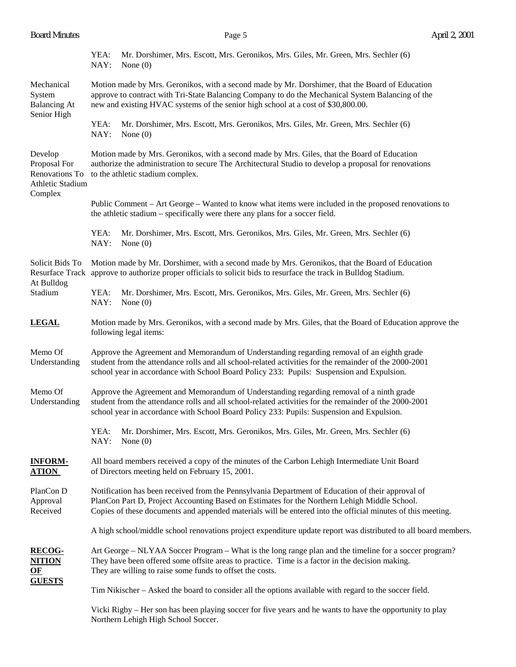| <b>Board Minutes</b> |  |
|----------------------|--|
|                      |  |

|                                                                              | YEA:<br>NAY:                                                                                                                                                                                                                                                                                                     | Mr. Dorshimer, Mrs. Escott, Mrs. Geronikos, Mrs. Giles, Mr. Green, Mrs. Sechler (6)<br>None $(0)$                                                                                                                                                                                               |  |  |  |
|------------------------------------------------------------------------------|------------------------------------------------------------------------------------------------------------------------------------------------------------------------------------------------------------------------------------------------------------------------------------------------------------------|-------------------------------------------------------------------------------------------------------------------------------------------------------------------------------------------------------------------------------------------------------------------------------------------------|--|--|--|
| Mechanical<br>System<br><b>Balancing At</b><br>Senior High                   | Motion made by Mrs. Geronikos, with a second made by Mr. Dorshimer, that the Board of Education<br>approve to contract with Tri-State Balancing Company to do the Mechanical System Balancing of the<br>new and existing HVAC systems of the senior high school at a cost of \$30,800.00.                        |                                                                                                                                                                                                                                                                                                 |  |  |  |
|                                                                              | YEA:<br>NAY:                                                                                                                                                                                                                                                                                                     | Mr. Dorshimer, Mrs. Escott, Mrs. Geronikos, Mrs. Giles, Mr. Green, Mrs. Sechler (6)<br>None $(0)$                                                                                                                                                                                               |  |  |  |
| Develop<br>Proposal For<br>Renovations To<br>Athletic Stadium<br>Complex     | Motion made by Mrs. Geronikos, with a second made by Mrs. Giles, that the Board of Education<br>authorize the administration to secure The Architectural Studio to develop a proposal for renovations<br>to the athletic stadium complex.                                                                        |                                                                                                                                                                                                                                                                                                 |  |  |  |
|                                                                              | Public Comment – Art George – Wanted to know what items were included in the proposed renovations to<br>the athletic stadium – specifically were there any plans for a soccer field.                                                                                                                             |                                                                                                                                                                                                                                                                                                 |  |  |  |
|                                                                              | YEA:<br>NAY:                                                                                                                                                                                                                                                                                                     | Mr. Dorshimer, Mrs. Escott, Mrs. Geronikos, Mrs. Giles, Mr. Green, Mrs. Sechler (6)<br>None $(0)$                                                                                                                                                                                               |  |  |  |
| Solicit Bids To<br>At Bulldog<br>Stadium                                     |                                                                                                                                                                                                                                                                                                                  | Motion made by Mr. Dorshimer, with a second made by Mrs. Geronikos, that the Board of Education<br>Resurface Track approve to authorize proper officials to solicit bids to resurface the track in Bulldog Stadium.                                                                             |  |  |  |
|                                                                              | YEA:<br>NAY:                                                                                                                                                                                                                                                                                                     | Mr. Dorshimer, Mrs. Escott, Mrs. Geronikos, Mrs. Giles, Mr. Green, Mrs. Sechler (6)<br>None $(0)$                                                                                                                                                                                               |  |  |  |
| <b>LEGAL</b>                                                                 | Motion made by Mrs. Geronikos, with a second made by Mrs. Giles, that the Board of Education approve the<br>following legal items:                                                                                                                                                                               |                                                                                                                                                                                                                                                                                                 |  |  |  |
| Memo Of<br>Understanding                                                     | Approve the Agreement and Memorandum of Understanding regarding removal of an eighth grade<br>student from the attendance rolls and all school-related activities for the remainder of the 2000-2001<br>school year in accordance with School Board Policy 233: Pupils: Suspension and Expulsion.                |                                                                                                                                                                                                                                                                                                 |  |  |  |
| Memo Of<br>Understanding                                                     |                                                                                                                                                                                                                                                                                                                  | Approve the Agreement and Memorandum of Understanding regarding removal of a ninth grade<br>student from the attendance rolls and all school-related activities for the remainder of the 2000-2001<br>school year in accordance with School Board Policy 233: Pupils: Suspension and Expulsion. |  |  |  |
|                                                                              | YEA:<br>NAY:                                                                                                                                                                                                                                                                                                     | Mr. Dorshimer, Mrs. Escott, Mrs. Geronikos, Mrs. Giles, Mr. Green, Mrs. Sechler (6)<br>None $(0)$                                                                                                                                                                                               |  |  |  |
| <b>INFORM-</b><br><b>ATION</b>                                               | All board members received a copy of the minutes of the Carbon Lehigh Intermediate Unit Board<br>of Directors meeting held on February 15, 2001.                                                                                                                                                                 |                                                                                                                                                                                                                                                                                                 |  |  |  |
| PlanCon D<br>Approval<br>Received                                            | Notification has been received from the Pennsylvania Department of Education of their approval of<br>PlanCon Part D, Project Accounting Based on Estimates for the Northern Lehigh Middle School.<br>Copies of these documents and appended materials will be entered into the official minutes of this meeting. |                                                                                                                                                                                                                                                                                                 |  |  |  |
|                                                                              |                                                                                                                                                                                                                                                                                                                  | A high school/middle school renovations project expenditure update report was distributed to all board members.                                                                                                                                                                                 |  |  |  |
| <b>RECOG-</b><br><u>NITION</u><br>$\underline{\mathbf{OF}}$<br><b>GUESTS</b> | Art George – NLYAA Soccer Program – What is the long range plan and the timeline for a soccer program?<br>They have been offered some offsite areas to practice. Time is a factor in the decision making.<br>They are willing to raise some funds to offset the costs.                                           |                                                                                                                                                                                                                                                                                                 |  |  |  |
|                                                                              | Tim Nikischer – Asked the board to consider all the options available with regard to the soccer field.                                                                                                                                                                                                           |                                                                                                                                                                                                                                                                                                 |  |  |  |
|                                                                              |                                                                                                                                                                                                                                                                                                                  | Vicki Rigby – Her son has been playing soccer for five years and he wants to have the opportunity to play                                                                                                                                                                                       |  |  |  |

Northern Lehigh High School Soccer.